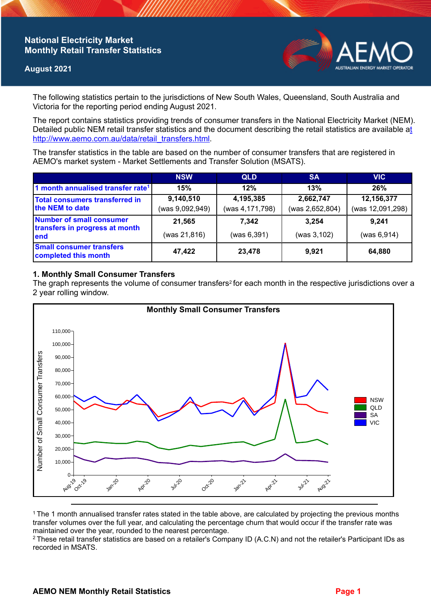# **National Electricity Market Monthly Retail Transfer Statistics**

## **August 2021**



The following statistics pertain to the jurisdictions of New South Wales, Queensland, South Australia and Victoria for the reporting period ending August 2021.

The report contains statistics providing trends of consumer transfers in the National Electricity Market (NEM). Detailed public NEM retail transfer statistics and the document describing the retail statistics are available a[t](http://www.aemo.com.au/data/retail_transfers.html)  http://www.aemo.com.au/data/retail\_transfers.html

The transfer statistics in the table are based on the number of consumer transfers that are registered in AEMO's market system - Market Settlements and Transfer Solution (MSATS).

|                                                                    | <b>NSW</b>                   | <b>QLD</b>                   | <b>SA</b>                    | <b>VIC</b>                     |
|--------------------------------------------------------------------|------------------------------|------------------------------|------------------------------|--------------------------------|
| 1 month annualised transfer rate <sup>1</sup>                      | 15%                          | 12%                          | 13%                          | 26%                            |
| Total consumers transferred in<br>the NEM to date                  | 9,140,510<br>(was 9,092,949) | 4,195,385<br>(was 4,171,798) | 2,662,747<br>(was 2,652,804) | 12,156,377<br>(was 12,091,298) |
| Number of small consumer<br>transfers in progress at month<br>lend | 21,565<br>(was 21,816)       | 7,342<br>(was 6,391)         | 3.254<br>(was 3, 102)        | 9.241<br>(was 6, 914)          |
| <b>Small consumer transfers</b><br>completed this month            | 47,422                       | 23,478                       | 9,921                        | 64,880                         |

## **1. Monthly Small Consumer Transfers**

The graph represents the volume of consumer transfers<sup>2</sup> for each month in the respective jurisdictions over a 2 year rolling window.



<sup>1</sup>The 1 month annualised transfer rates stated in the table above, are calculated by projecting the previous months transfer volumes over the full year, and calculating the percentage churn that would occur if the transfer rate was maintained over the year, rounded to the nearest percentage.

<sup>2</sup> These retail transfer statistics are based on a retailer's Company ID (A.C.N) and not the retailer's Participant IDs as recorded in MSATS.